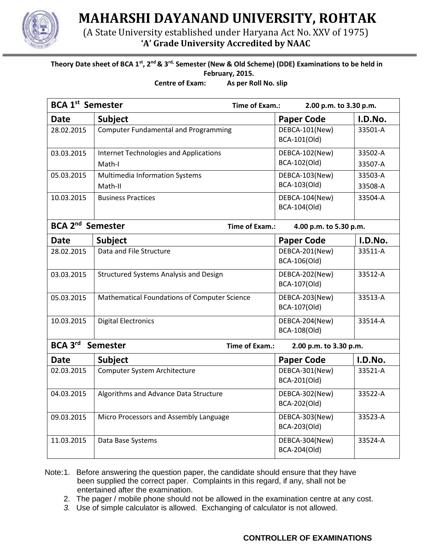

**MAHARSHI DAYANAND UNIVERSITY, ROHTAK**

(A State University established under Haryana Act No. XXV of 1975) **'A' Grade University Accredited by NAAC**

## **Theory Date sheet of BCA 1st, 2nd & 3rd, Semester (New & Old Scheme) (DDE) Examinations to be held in February, 2015.**

**Centre of Exam: As per Roll No. slip**

| <b>BCA 1st Semester</b>            |                                               | Time of Exam.:                           |                                | 2.00 p.m. to 3.30 p.m. |  |
|------------------------------------|-----------------------------------------------|------------------------------------------|--------------------------------|------------------------|--|
| <b>Date</b>                        | <b>Subject</b>                                |                                          | <b>Paper Code</b>              | I.D.No.                |  |
| 28.02.2015                         | <b>Computer Fundamental and Programming</b>   |                                          | DEBCA-101(New)<br>BCA-101(Old) | 33501-A                |  |
| 03.03.2015                         | <b>Internet Technologies and Applications</b> |                                          | DEBCA-102(New)                 | 33502-A                |  |
|                                    | Math-I                                        |                                          | BCA-102(Old)                   | 33507-A                |  |
| 05.03.2015                         | Multimedia Information Systems                |                                          | DEBCA-103(New)                 | 33503-A                |  |
|                                    | Math-II                                       |                                          | BCA-103(Old)                   | 33508-A                |  |
| 10.03.2015                         | <b>Business Practices</b>                     |                                          | DEBCA-104(New)<br>BCA-104(Old) | 33504-A                |  |
| <b>BCA 2<sup>nd</sup> Semester</b> |                                               | Time of Exam.:<br>4.00 p.m. to 5.30 p.m. |                                |                        |  |
| <b>Date</b>                        | <b>Subject</b>                                |                                          | <b>Paper Code</b>              | I.D.No.                |  |
| 28.02.2015                         | Data and File Structure                       |                                          | DEBCA-201(New)                 | 33511-A                |  |
|                                    |                                               |                                          | BCA-106(Old)                   |                        |  |
| 03.03.2015                         | <b>Structured Systems Analysis and Design</b> |                                          | DEBCA-202(New)                 | 33512-A                |  |
|                                    |                                               |                                          | BCA-107(Old)                   |                        |  |
| 05.03.2015                         | Mathematical Foundations of Computer Science  |                                          | DEBCA-203(New)                 | 33513-A                |  |
|                                    |                                               |                                          | BCA-107(Old)                   |                        |  |
| 10.03.2015                         | <b>Digital Electronics</b>                    |                                          | DEBCA-204(New)                 | 33514-A                |  |
|                                    |                                               |                                          | BCA-108(Old)                   |                        |  |
| BCA 3rd<br><b>Semester</b>         |                                               | Time of Exam.:                           | 2.00 p.m. to 3.30 p.m.         |                        |  |
| <b>Date</b>                        | <b>Subject</b>                                |                                          | <b>Paper Code</b>              | I.D.No.                |  |
| 02.03.2015                         | Computer System Architecture                  |                                          | DEBCA-301(New)                 | 33521-A                |  |
|                                    |                                               |                                          | BCA-201(Old)                   |                        |  |
| 04.03.2015                         | Algorithms and Advance Data Structure         |                                          | DEBCA-302(New)                 | 33522-A                |  |
|                                    |                                               |                                          | BCA-202(Old)                   |                        |  |
| 09.03.2015                         | Micro Processors and Assembly Language        |                                          | DEBCA-303(New)                 | 33523-A                |  |
|                                    |                                               |                                          | BCA-203(Old)                   |                        |  |
| 11.03.2015                         | Data Base Systems                             |                                          | DEBCA-304(New)                 | 33524-A                |  |
|                                    |                                               |                                          | BCA-204(Old)                   |                        |  |

 Note:1. Before answering the question paper, the candidate should ensure that they have been supplied the correct paper. Complaints in this regard, if any, shall not be entertained after the examination.

- 2. The pager / mobile phone should not be allowed in the examination centre at any cost.
- *3.* Use of simple calculator is allowed. Exchanging of calculator is not allowed*.*